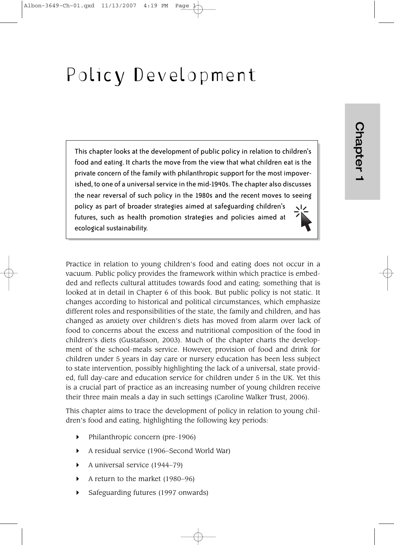# Policy Development

This chapter looks at the development of public policy in relation to children's food and eating. It charts the move from the view that what children eat is the private concern of the family with philanthropic support for the most impoverished, to one of a universal service in the mid-1940s. The chapter also discusses the near reversal of such policy in the 1980s and the recent moves to seeing policy as part of broader strategies aimed at safeguarding children's futures, such as health promotion strategies and policies aimed at ecological sustainability.

Practice in relation to young children's food and eating does not occur in a vacuum. Public policy provides the framework within which practice is embedded and reflects cultural attitudes towards food and eating; something that is looked at in detail in Chapter 6 of this book. But public policy is not static. It changes according to historical and political circumstances, which emphasize different roles and responsibilities of the state, the family and children, and has changed as anxiety over children's diets has moved from alarm over lack of food to concerns about the excess and nutritional composition of the food in children's diets (Gustafsson, 2003). Much of the chapter charts the development of the school-meals service. However, provision of food and drink for children under 5 years in day care or nursery education has been less subject to state intervention, possibly highlighting the lack of a universal, state provided, full day-care and education service for children under 5 in the UK. Yet this is a crucial part of practice as an increasing number of young children receive their three main meals a day in such settings (Caroline Walker Trust, 2006).

This chapter aims to trace the development of policy in relation to young children's food and eating, highlighting the following key periods:

- $\blacktriangleright$  Philanthropic concern (pre-1906)
- A residual service (1906–Second World War)
- A universal service  $(1944-79)$
- A return to the market (1980–96)
- Safeguarding futures (1997 onwards)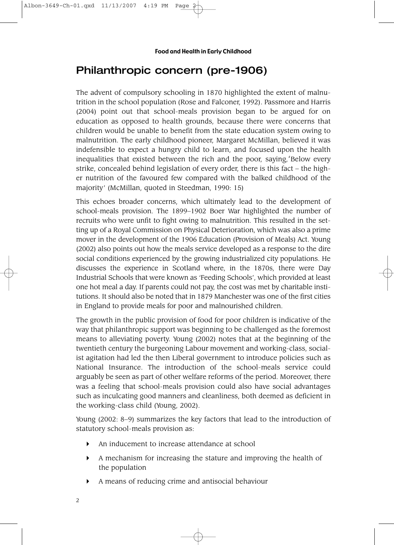## Philanthropic concern (pre-1906)

The advent of compulsory schooling in 1870 highlighted the extent of malnutrition in the school population (Rose and Falconer, 1992). Passmore and Harris (2004) point out that school-meals provision began to be argued for on education as opposed to health grounds, because there were concerns that children would be unable to benefit from the state education system owing to malnutrition. The early childhood pioneer, Margaret McMillan, believed it was indefensible to expect a hungry child to learn, and focused upon the health inequalities that existed between the rich and the poor, saying,'Below every strike, concealed behind legislation of every order, there is this fact – the higher nutrition of the favoured few compared with the balked childhood of the majority' (McMillan, quoted in Steedman, 1990: 15)

This echoes broader concerns, which ultimately lead to the development of school-meals provision. The 1899–1902 Boer War highlighted the number of recruits who were unfit to fight owing to malnutrition. This resulted in the setting up of a Royal Commission on Physical Deterioration, which was also a prime mover in the development of the 1906 Education (Provision of Meals) Act. Young (2002) also points out how the meals service developed as a response to the dire social conditions experienced by the growing industrialized city populations. He discusses the experience in Scotland where, in the 1870s, there were Day Industrial Schools that were known as 'Feeding Schools', which provided at least one hot meal a day. If parents could not pay, the cost was met by charitable institutions. It should also be noted that in 1879 Manchester was one of the first cities in England to provide meals for poor and malnourished children.

The growth in the public provision of food for poor children is indicative of the way that philanthropic support was beginning to be challenged as the foremost means to alleviating poverty. Young (2002) notes that at the beginning of the twentieth century the burgeoning Labour movement and working-class, socialist agitation had led the then Liberal government to introduce policies such as National Insurance. The introduction of the school-meals service could arguably be seen as part of other welfare reforms of the period. Moreover, there was a feeling that school-meals provision could also have social advantages such as inculcating good manners and cleanliness, both deemed as deficient in the working-class child (Young, 2002).

Young (2002: 8–9) summarizes the key factors that lead to the introduction of statutory school-meals provision as:

- An inducement to increase attendance at school
- A mechanism for increasing the stature and improving the health of the population
- A means of reducing crime and antisocial behaviour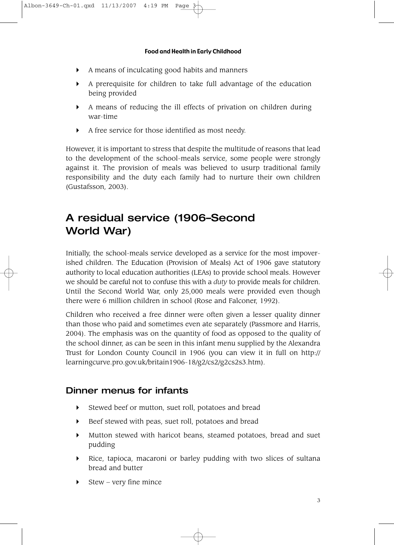- A means of inculcating good habits and manners
- A prerequisite for children to take full advantage of the education being provided
- A means of reducing the ill effects of privation on children during war-time
- A free service for those identified as most needy.

However, it is important to stress that despite the multitude of reasons that lead to the development of the school-meals service, some people were strongly against it. The provision of meals was believed to usurp traditional family responsibility and the duty each family had to nurture their own children (Gustafsson, 2003).

# A residual service (1906–Second World War)

Initially, the school-meals service developed as a service for the most impoverished children. The Education (Provision of Meals) Act of 1906 gave statutory authority to local education authorities (LEAs) to provide school meals. However we should be careful not to confuse this with a *duty* to provide meals for children. Until the Second World War, only 25,000 meals were provided even though there were 6 million children in school (Rose and Falconer, 1992).

Children who received a free dinner were often given a lesser quality dinner than those who paid and sometimes even ate separately (Passmore and Harris, 2004). The emphasis was on the quantity of food as opposed to the quality of the school dinner, as can be seen in this infant menu supplied by the Alexandra Trust for London County Council in 1906 (you can view it in full on http:// learningcurve.pro.gov.uk/britain1906-18/g2/cs2/g2cs2s3.htm).

### Dinner menus for infants

- Stewed beef or mutton, suet roll, potatoes and bread
- Beef stewed with peas, suet roll, potatoes and bread
- Mutton stewed with haricot beans, steamed potatoes, bread and suet pudding
- Rice, tapioca, macaroni or barley pudding with two slices of sultana bread and butter
- Stew very fine mince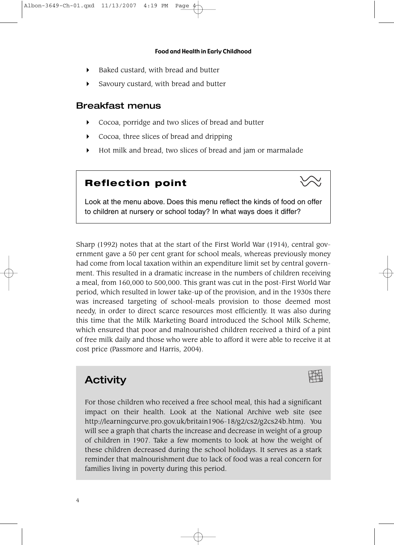- $\triangleright$  Baked custard, with bread and butter
- Savoury custard, with bread and butter

### Breakfast menus

- Cocoa, porridge and two slices of bread and butter
- Cocoa, three slices of bread and dripping
- Hot milk and bread, two slices of bread and jam or marmalade

### **Reflection point**



Look at the menu above. Does this menu reflect the kinds of food on offer to children at nursery or school today? In what ways does it differ?

Sharp (1992) notes that at the start of the First World War (1914), central government gave a 50 per cent grant for school meals, whereas previously money had come from local taxation within an expenditure limit set by central government. This resulted in a dramatic increase in the numbers of children receiving a meal, from 160,000 to 500,000. This grant was cut in the post-First World War period, which resulted in lower take-up of the provision, and in the 1930s there was increased targeting of school-meals provision to those deemed most needy, in order to direct scarce resources most efficiently. It was also during this time that the Milk Marketing Board introduced the School Milk Scheme, which ensured that poor and malnourished children received a third of a pint of free milk daily and those who were able to afford it were able to receive it at cost price (Passmore and Harris, 2004).

### **Activity**



For those children who received a free school meal, this had a significant impact on their health. Look at the National Archive web site (see http://learningcurve.pro.gov.uk/britain1906-18/g2/cs2/g2cs24b.htm). You will see a graph that charts the increase and decrease in weight of a group of children in 1907. Take a few moments to look at how the weight of these children decreased during the school holidays. It serves as a stark reminder that malnourishment due to lack of food was a real concern for families living in poverty during this period.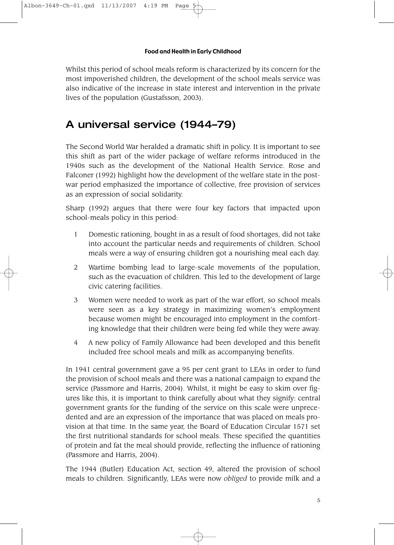Whilst this period of school meals reform is characterized by its concern for the most impoverished children, the development of the school meals service was also indicative of the increase in state interest and intervention in the private lives of the population (Gustafsson, 2003).

# A universal service (1944–79)

The Second World War heralded a dramatic shift in policy. It is important to see this shift as part of the wider package of welfare reforms introduced in the 1940s such as the development of the National Health Service. Rose and Falconer (1992) highlight how the development of the welfare state in the postwar period emphasized the importance of collective, free provision of services as an expression of social solidarity.

Sharp (1992) argues that there were four key factors that impacted upon school-meals policy in this period:

- 1 Domestic rationing, bought in as a result of food shortages, did not take into account the particular needs and requirements of children. School meals were a way of ensuring children got a nourishing meal each day.
- 2 Wartime bombing lead to large-scale movements of the population, such as the evacuation of children. This led to the development of large civic catering facilities.
- 3 Women were needed to work as part of the war effort, so school meals were seen as a key strategy in maximizing women's employment because women might be encouraged into employment in the comforting knowledge that their children were being fed while they were away.
- 4 A new policy of Family Allowance had been developed and this benefit included free school meals and milk as accompanying benefits.

In 1941 central government gave a 95 per cent grant to LEAs in order to fund the provision of school meals and there was a national campaign to expand the service (Passmore and Harris, 2004). Whilst, it might be easy to skim over figures like this, it is important to think carefully about what they signify: central government grants for the funding of the service on this scale were unprecedented and are an expression of the importance that was placed on meals provision at that time. In the same year, the Board of Education Circular 1571 set the first nutritional standards for school meals. These specified the quantities of protein and fat the meal should provide, reflecting the influence of rationing (Passmore and Harris, 2004).

The 1944 (Butler) Education Act, section 49, altered the provision of school meals to children. Significantly, LEAs were now *obliged* to provide milk and a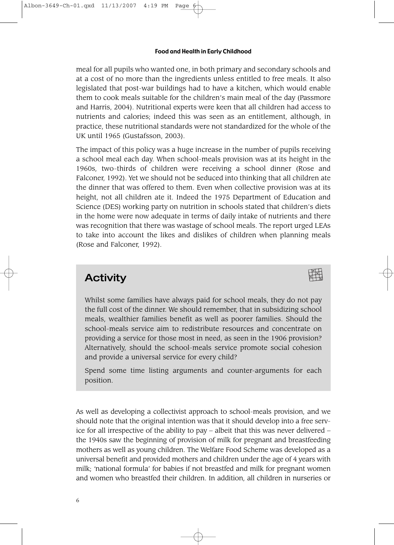meal for all pupils who wanted one, in both primary and secondary schools and at a cost of no more than the ingredients unless entitled to free meals. It also legislated that post-war buildings had to have a kitchen, which would enable them to cook meals suitable for the children's main meal of the day (Passmore and Harris, 2004). Nutritional experts were keen that all children had access to nutrients and calories; indeed this was seen as an entitlement, although, in practice, these nutritional standards were not standardized for the whole of the UK until 1965 (Gustafsson, 2003).

The impact of this policy was a huge increase in the number of pupils receiving a school meal each day. When school-meals provision was at its height in the 1960s, two-thirds of children were receiving a school dinner (Rose and Falconer, 1992). Yet we should not be seduced into thinking that all children ate the dinner that was offered to them. Even when collective provision was at its height, not all children ate it. Indeed the 1975 Department of Education and Science (DES) working party on nutrition in schools stated that children's diets in the home were now adequate in terms of daily intake of nutrients and there was recognition that there was wastage of school meals. The report urged LEAs to take into account the likes and dislikes of children when planning meals (Rose and Falconer, 1992).

# **Activity**

Whilst some families have always paid for school meals, they do not pay the full cost of the dinner. We should remember, that in subsidizing school meals, wealthier families benefit as well as poorer families. Should the school-meals service aim to redistribute resources and concentrate on providing a service for those most in need, as seen in the 1906 provision? Alternatively, should the school-meals service promote social cohesion and provide a universal service for every child?

Spend some time listing arguments and counter-arguments for each position.

As well as developing a collectivist approach to school-meals provision, and we should note that the original intention was that it should develop into a free service for all irrespective of the ability to pay – albeit that this was never delivered – the 1940s saw the beginning of provision of milk for pregnant and breastfeeding mothers as well as young children. The Welfare Food Scheme was developed as a universal benefit and provided mothers and children under the age of 4 years with milk; 'national formula' for babies if not breastfed and milk for pregnant women and women who breastfed their children. In addition, all children in nurseries or

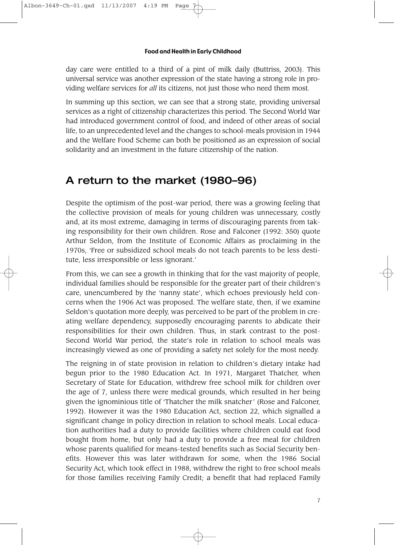day care were entitled to a third of a pint of milk daily (Buttriss, 2003). This universal service was another expression of the state having a strong role in providing welfare services for *all* its citizens, not just those who need them most.

In summing up this section, we can see that a strong state, providing universal services as a right of citizenship characterizes this period. The Second World War had introduced government control of food, and indeed of other areas of social life, to an unprecedented level and the changes to school-meals provision in 1944 and the Welfare Food Scheme can both be positioned as an expression of social solidarity and an investment in the future citizenship of the nation.

## A return to the market (1980–96)

Despite the optimism of the post-war period, there was a growing feeling that the collective provision of meals for young children was unnecessary, costly and, at its most extreme, damaging in terms of discouraging parents from taking responsibility for their own children. Rose and Falconer (1992: 350) quote Arthur Seldon, from the Institute of Economic Affairs as proclaiming in the 1970s, 'Free or subsidized school meals do not teach parents to be less destitute, less irresponsible or less ignorant.'

From this, we can see a growth in thinking that for the vast majority of people, individual families should be responsible for the greater part of their children's care, unencumbered by the 'nanny state', which echoes previously held concerns when the 1906 Act was proposed. The welfare state, then, if we examine Seldon's quotation more deeply, was perceived to be part of the problem in creating welfare dependency, supposedly encouraging parents to abdicate their responsibilities for their own children. Thus, in stark contrast to the post-Second World War period, the state's role in relation to school meals was increasingly viewed as one of providing a safety net solely for the most needy.

The reigning in of state provision in relation to children's dietary intake had begun prior to the 1980 Education Act. In 1971, Margaret Thatcher, when Secretary of State for Education, withdrew free school milk for children over the age of 7, unless there were medical grounds, which resulted in her being given the ignominious title of 'Thatcher the milk snatcher' (Rose and Falconer, 1992). However it was the 1980 Education Act, section 22, which signalled a significant change in policy direction in relation to school meals. Local education authorities had a duty to provide facilities where children could eat food bought from home, but only had a duty to provide a free meal for children whose parents qualified for means-tested benefits such as Social Security benefits. However this was later withdrawn for some, when the 1986 Social Security Act, which took effect in 1988, withdrew the right to free school meals for those families receiving Family Credit; a benefit that had replaced Family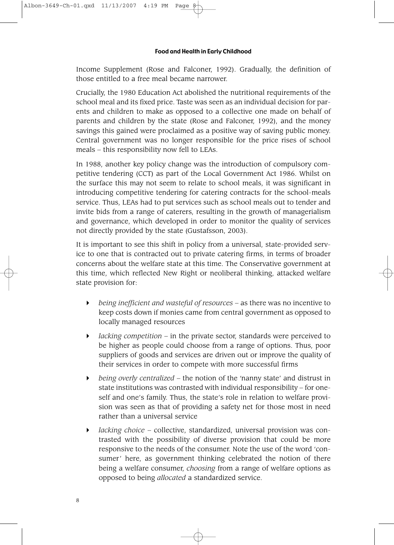Income Supplement (Rose and Falconer, 1992). Gradually, the definition of those entitled to a free meal became narrower.

Crucially, the 1980 Education Act abolished the nutritional requirements of the school meal and its fixed price. Taste was seen as an individual decision for parents and children to make as opposed to a collective one made on behalf of parents and children by the state (Rose and Falconer, 1992), and the money savings this gained were proclaimed as a positive way of saving public money. Central government was no longer responsible for the price rises of school meals – this responsibility now fell to LEAs.

In 1988, another key policy change was the introduction of compulsory competitive tendering (CCT) as part of the Local Government Act 1986. Whilst on the surface this may not seem to relate to school meals, it was significant in introducing competitive tendering for catering contracts for the school-meals service. Thus, LEAs had to put services such as school meals out to tender and invite bids from a range of caterers, resulting in the growth of managerialism and governance, which developed in order to monitor the quality of services not directly provided by the state (Gustafsson, 2003).

It is important to see this shift in policy from a universal, state-provided service to one that is contracted out to private catering firms, in terms of broader concerns about the welfare state at this time. The Conservative government at this time, which reflected New Right or neoliberal thinking, attacked welfare state provision for:

- *being inefficient and wasteful of resources* as there was no incentive to keep costs down if monies came from central government as opposed to locally managed resources
- *lacking competition* in the private sector, standards were perceived to be higher as people could choose from a range of options. Thus, poor suppliers of goods and services are driven out or improve the quality of their services in order to compete with more successful firms
- *being overly centralized* the notion of the 'nanny state' and distrust in state institutions was contrasted with individual responsibility – for oneself and one's family. Thus, the state's role in relation to welfare provision was seen as that of providing a safety net for those most in need rather than a universal service
- *lacking choice*  collective, standardized, universal provision was contrasted with the possibility of diverse provision that could be more responsive to the needs of the consumer. Note the use of the word 'consumer' here, as government thinking celebrated the notion of there being a welfare consumer, *choosing* from a range of welfare options as opposed to being *allocated* a standardized service.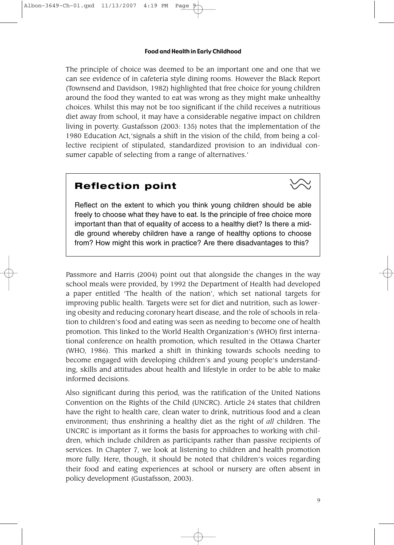The principle of choice was deemed to be an important one and one that we can see evidence of in cafeteria style dining rooms. However the Black Report (Townsend and Davidson, 1982) highlighted that free choice for young children around the food they wanted to eat was wrong as they might make unhealthy choices. Whilst this may not be too significant if the child receives a nutritious diet away from school, it may have a considerable negative impact on children living in poverty. Gustafsson (2003: 135) notes that the implementation of the 1980 Education Act,'signals a shift in the vision of the child, from being a collective recipient of stipulated, standardized provision to an individual consumer capable of selecting from a range of alternatives.'

### **Reflection point**



Reflect on the extent to which you think young children should be able freely to choose what they have to eat. Is the principle of free choice more important than that of equality of access to a healthy diet? Is there a middle ground whereby children have a range of healthy options to choose from? How might this work in practice? Are there disadvantages to this?

Passmore and Harris (2004) point out that alongside the changes in the way school meals were provided, by 1992 the Department of Health had developed a paper entitled 'The health of the nation', which set national targets for improving public health. Targets were set for diet and nutrition, such as lowering obesity and reducing coronary heart disease, and the role of schools in relation to children's food and eating was seen as needing to become one of health promotion. This linked to the World Health Organization's (WHO) first international conference on health promotion, which resulted in the Ottawa Charter (WHO, 1986). This marked a shift in thinking towards schools needing to become engaged with developing children's and young people's understanding, skills and attitudes about health and lifestyle in order to be able to make informed decisions.

Also significant during this period, was the ratification of the United Nations Convention on the Rights of the Child (UNCRC). Article 24 states that children have the right to health care, clean water to drink, nutritious food and a clean environment; thus enshrining a healthy diet as the right of *all* children. The UNCRC is important as it forms the basis for approaches to working with children, which include children as participants rather than passive recipients of services. In Chapter 7, we look at listening to children and health promotion more fully. Here, though, it should be noted that children's voices regarding their food and eating experiences at school or nursery are often absent in policy development (Gustafsson, 2003).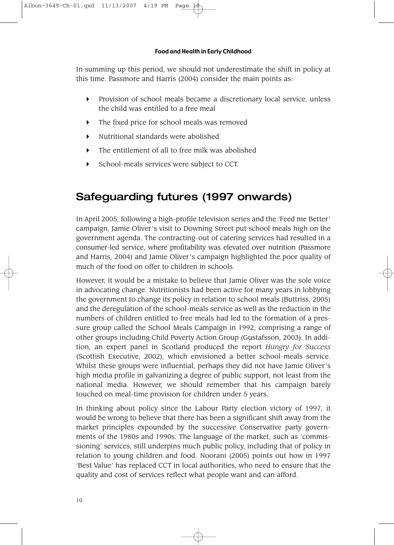In summing up this period, we should not underestimate the shift in policy at this time. Passmore and Harris (2004) consider the main points as:

- Provision of school meals became a discretionary local service, unless the child was entitled to a free meal
- The fixed price for school meals was removed
- Nutritional standards were abolished
- The entitlement of all to free milk was abolished
- School-meals services were subject to CCT.

# Safeguarding futures (1997 onwards)

In April 2005, following a high-profile television series and the 'Feed me Better' campaign, Jamie Oliver's visit to Downing Street put school meals high on the government agenda. The contracting-out of catering services had resulted in a consumer-led service, where profitability was elevated over nutrition (Passmore and Harris, 2004) and Jamie Oliver's campaign highlighted the poor quality of much of the food on offer to children in schools.

However, it would be a mistake to believe that Jamie Oliver was the sole voice in advocating change. Nutritionists had been active for many years in lobbying the government to change its policy in relation to school meals (Buttriss, 2005) and the deregulation of the school-meals service as well as the reduction in the numbers of children entitled to free meals had led to the formation of a pressure group called the School Meals Campaign in 1992, comprising a range of other groups including Child Poverty Action Group (Gustafsson, 2003). In addition, an expert panel in Scotland produced the report *Hungry for Success* (Scottish Executive, 2002), which envisioned a better school-meals service. Whilst these groups were influential, perhaps they did not have Jamie Oliver's high media profile in galvanizing a degree of public support, not least from the national media. However, we should remember that his campaign barely touched on meal-time provision for children under 5 years.

In thinking about policy since the Labour Party election victory of 1997, it would be wrong to believe that there has been a significant shift away from the market principles expounded by the successive Conservative party governments of the 1980s and 1990s. The language of the market, such as 'commissioning' services, still underpins much public policy, including that of policy in relation to young children and food. Noorani (2005) points out how in 1997 'Best Value' has replaced CCT in local authorities, who need to ensure that the quality and cost of services reflect what people want and can afford.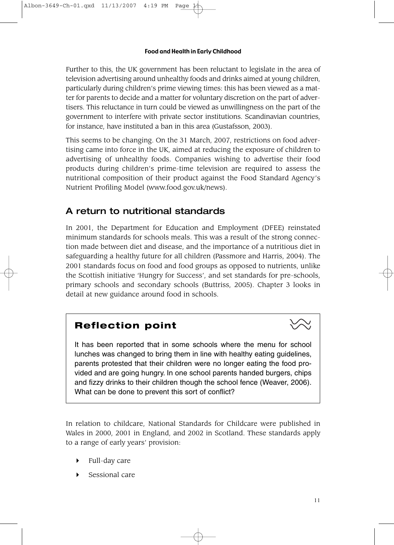Further to this, the UK government has been reluctant to legislate in the area of television advertising around unhealthy foods and drinks aimed at young children, particularly during children's prime viewing times: this has been viewed as a matter for parents to decide and a matter for voluntary discretion on the part of advertisers. This reluctance in turn could be viewed as unwillingness on the part of the government to interfere with private sector institutions. Scandinavian countries, for instance, have instituted a ban in this area (Gustafsson, 2003).

This seems to be changing. On the 31 March, 2007, restrictions on food advertising came into force in the UK, aimed at reducing the exposure of children to advertising of unhealthy foods. Companies wishing to advertise their food products during children's prime-time television are required to assess the nutritional composition of their product against the Food Standard Agency's Nutrient Profiling Model (www.food.gov.uk/news).

### A return to nutritional standards

In 2001, the Department for Education and Employment (DFEE) reinstated minimum standards for schools meals. This was a result of the strong connection made between diet and disease, and the importance of a nutritious diet in safeguarding a healthy future for all children (Passmore and Harris, 2004). The 2001 standards focus on food and food groups as opposed to nutrients, unlike the Scottish initiative 'Hungry for Success', and set standards for pre-schools, primary schools and secondary schools (Buttriss, 2005). Chapter 3 looks in detail at new guidance around food in schools.

### **Reflection point**

It has been reported that in some schools where the menu for school lunches was changed to bring them in line with healthy eating guidelines, parents protested that their children were no longer eating the food provided and are going hungry. In one school parents handed burgers, chips and fizzy drinks to their children though the school fence (Weaver, 2006). What can be done to prevent this sort of conflict?

In relation to childcare, National Standards for Childcare were published in Wales in 2000, 2001 in England, and 2002 in Scotland. These standards apply to a range of early years' provision:

- Full-day care
- Sessional care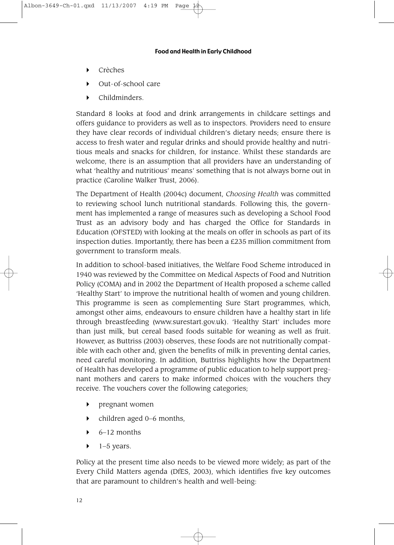- Crèches
- Out-of-school care
- Childminders.

Standard 8 looks at food and drink arrangements in childcare settings and offers guidance to providers as well as to inspectors. Providers need to ensure they have clear records of individual children's dietary needs; ensure there is access to fresh water and regular drinks and should provide healthy and nutritious meals and snacks for children, for instance. Whilst these standards are welcome, there is an assumption that all providers have an understanding of what 'healthy and nutritious' means' something that is not always borne out in practice (Caroline Walker Trust, 2006).

The Department of Health (2004c) document, *Choosing Health* was committed to reviewing school lunch nutritional standards. Following this, the government has implemented a range of measures such as developing a School Food Trust as an advisory body and has charged the Office for Standards in Education (OFSTED) with looking at the meals on offer in schools as part of its inspection duties. Importantly, there has been a £235 million commitment from government to transform meals.

In addition to school-based initiatives, the Welfare Food Scheme introduced in 1940 was reviewed by the Committee on Medical Aspects of Food and Nutrition Policy (COMA) and in 2002 the Department of Health proposed a scheme called 'Healthy Start' to improve the nutritional health of women and young children. This programme is seen as complementing Sure Start programmes, which, amongst other aims, endeavours to ensure children have a healthy start in life through breastfeeding (www.surestart.gov.uk). 'Healthy Start' includes more than just milk, but cereal based foods suitable for weaning as well as fruit. However, as Buttriss (2003) observes, these foods are not nutritionally compatible with each other and, given the benefits of milk in preventing dental caries, need careful monitoring. In addition, Buttriss highlights how the Department of Health has developed a programme of public education to help support pregnant mothers and carers to make informed choices with the vouchers they receive. The vouchers cover the following categories;

- pregnant women
- children aged 0–6 months,
- $\rightarrow$  6–12 months
- 1–5 years.

Policy at the present time also needs to be viewed more widely; as part of the Every Child Matters agenda (DfES, 2003), which identifies five key outcomes that are paramount to children's health and well-being: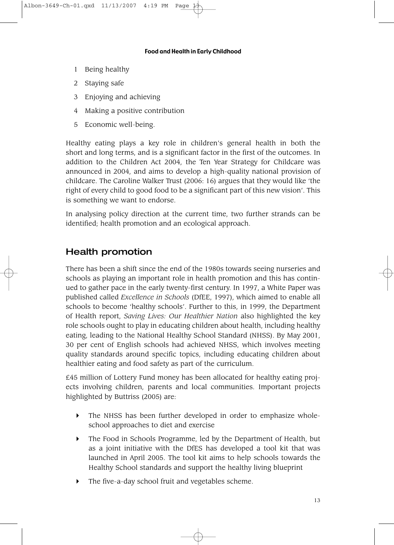- 1 Being healthy
- 2 Staying safe
- 3 Enjoying and achieving
- 4 Making a positive contribution
- 5 Economic well-being.

Healthy eating plays a key role in children's general health in both the short and long terms, and is a significant factor in the first of the outcomes. In addition to the Children Act 2004, the Ten Year Strategy for Childcare was announced in 2004, and aims to develop a high-quality national provision of childcare. The Caroline Walker Trust (2006: 16) argues that they would like 'the right of every child to good food to be a significant part of this new vision'. This is something we want to endorse.

In analysing policy direction at the current time, two further strands can be identified; health promotion and an ecological approach.

### Health promotion

There has been a shift since the end of the 1980s towards seeing nurseries and schools as playing an important role in health promotion and this has continued to gather pace in the early twenty-first century. In 1997, a White Paper was published called *Excellence in Schools* (DfEE, 1997), which aimed to enable all schools to become 'healthy schools'. Further to this, in 1999, the Department of Health report, *Saving Lives: Our Healthier Nation* also highlighted the key role schools ought to play in educating children about health, including healthy eating, leading to the National Healthy School Standard (NHSS). By May 2001, 30 per cent of English schools had achieved NHSS, which involves meeting quality standards around specific topics, including educating children about healthier eating and food safety as part of the curriculum.

£45 million of Lottery Fund money has been allocated for healthy eating projects involving children, parents and local communities. Important projects highlighted by Buttriss (2005) are:

- The NHSS has been further developed in order to emphasize wholeschool approaches to diet and exercise
- ▶ The Food in Schools Programme, led by the Department of Health, but as a joint initiative with the DfES has developed a tool kit that was launched in April 2005. The tool kit aims to help schools towards the Healthy School standards and support the healthy living blueprint
- The five-a-day school fruit and vegetables scheme.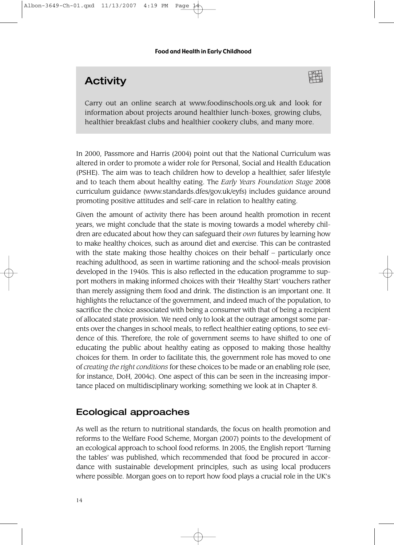# **Activity**

Albon-3649-Ch-01.qxd 11/13/2007 4:19 PM



Carry out an online search at www.foodinschools.org.uk and look for information about projects around healthier lunch-boxes, growing clubs, healthier breakfast clubs and healthier cookery clubs, and many more.

In 2000, Passmore and Harris (2004) point out that the National Curriculum was altered in order to promote a wider role for Personal, Social and Health Education (PSHE). The aim was to teach children how to develop a healthier, safer lifestyle and to teach them about healthy eating. The *Early Years Foundation Stage* 2008 curriculum guidance (www.standards.dfes/gov.uk/eyfs) includes guidance around promoting positive attitudes and self-care in relation to healthy eating.

Given the amount of activity there has been around health promotion in recent years, we might conclude that the state is moving towards a model whereby children are educated about how they can safeguard their *own* futures by learning how to make healthy choices, such as around diet and exercise. This can be contrasted with the state making those healthy choices on their behalf – particularly once reaching adulthood, as seen in wartime rationing and the school-meals provision developed in the 1940s. This is also reflected in the education programme to support mothers in making informed choices with their 'Healthy Start' vouchers rather than merely assigning them food and drink. The distinction is an important one. It highlights the reluctance of the government, and indeed much of the population, to sacrifice the choice associated with being a consumer with that of being a recipient of allocated state provision. We need only to look at the outrage amongst some parents over the changes in school meals, to reflect healthier eating options, to see evidence of this. Therefore, the role of government seems to have shifted to one of educating the public about healthy eating as opposed to making those healthy choices for them. In order to facilitate this, the government role has moved to one of *creating the right conditions* for these choices to be made or an enabling role (see, for instance, DoH, 2004c). One aspect of this can be seen in the increasing importance placed on multidisciplinary working; something we look at in Chapter 8.

### Ecological approaches

As well as the return to nutritional standards, the focus on health promotion and reforms to the Welfare Food Scheme, Morgan (2007) points to the development of an ecological approach to school food reforms. In 2005, the English report 'Turning the tables' was published, which recommended that food be procured in accordance with sustainable development principles, such as using local producers where possible. Morgan goes on to report how food plays a crucial role in the UK's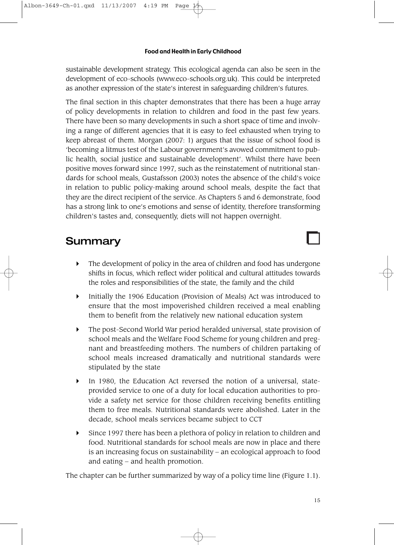sustainable development strategy. This ecological agenda can also be seen in the development of eco-schools (www.eco-schools.org.uk). This could be interpreted as another expression of the state's interest in safeguarding children's futures.

The final section in this chapter demonstrates that there has been a huge array of policy developments in relation to children and food in the past few years. There have been so many developments in such a short space of time and involving a range of different agencies that it is easy to feel exhausted when trying to keep abreast of them. Morgan (2007: 1) argues that the issue of school food is 'becoming a litmus test of the Labour government's avowed commitment to public health, social justice and sustainable development'. Whilst there have been positive moves forward since 1997, such as the reinstatement of nutritional standards for school meals, Gustafsson (2003) notes the absence of the child's voice in relation to public policy-making around school meals, despite the fact that they are the direct recipient of the service. As Chapters 5 and 6 demonstrate, food has a strong link to one's emotions and sense of identity, therefore transforming children's tastes and, consequently, diets will not happen overnight.

# Summary

- The development of policy in the area of children and food has undergone shifts in focus, which reflect wider political and cultural attitudes towards the roles and responsibilities of the state, the family and the child
- Initially the 1906 Education (Provision of Meals) Act was introduced to ensure that the most impoverished children received a meal enabling them to benefit from the relatively new national education system
- The post-Second World War period heralded universal, state provision of school meals and the Welfare Food Scheme for young children and pregnant and breastfeeding mothers. The numbers of children partaking of school meals increased dramatically and nutritional standards were stipulated by the state
- In 1980, the Education Act reversed the notion of a universal, stateprovided service to one of a duty for local education authorities to provide a safety net service for those children receiving benefits entitling them to free meals. Nutritional standards were abolished. Later in the decade, school meals services became subject to CCT
- $\triangleright$  Since 1997 there has been a plethora of policy in relation to children and food. Nutritional standards for school meals are now in place and there is an increasing focus on sustainability – an ecological approach to food and eating – and health promotion.

The chapter can be further summarized by way of a policy time line (Figure 1.1).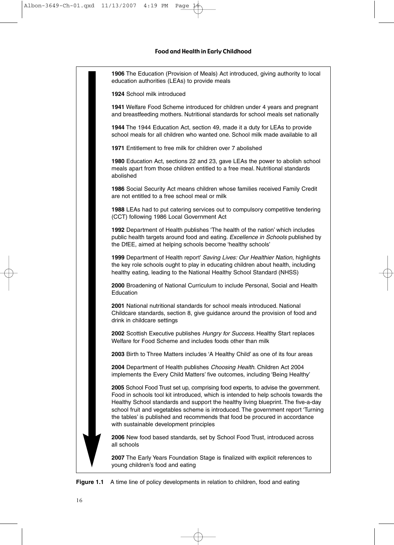**1906** The Education (Provision of Meals) Act introduced, giving authority to local education authorities (LEAs) to provide meals **1924** School milk introduced **1941** Welfare Food Scheme introduced for children under 4 years and pregnant and breastfeeding mothers. Nutritional standards for school meals set nationally **1944** The 1944 Education Act, section 49, made it a duty for LEAs to provide school meals for all children who wanted one. School milk made available to all **1971** Entitlement to free milk for children over 7 abolished **1980** Education Act, sections 22 and 23, gave LEAs the power to abolish school meals apart from those children entitled to a free meal. Nutritional standards abolished **1986** Social Security Act means children whose families received Family Credit are not entitled to a free school meal or milk **1988** LEAs had to put catering services out to compulsory competitive tendering (CCT) following 1986 Local Government Act **1992** Department of Health publishes 'The health of the nation' which includes public health targets around food and eating. Excellence in Schools published by the DfEE, aimed at helping schools become 'healthy schools' **1999** Department of Health report' Saving Lives: Our Healthier Nation, highlights the key role schools ought to play in educating children about health, including healthy eating, leading to the National Healthy School Standard (NHSS) **2000** Broadening of National Curriculum to include Personal, Social and Health Education **2001** National nutritional standards for school meals introduced. National Childcare standards, section 8, give guidance around the provision of food and drink in childcare settings **2002** Scottish Executive publishes Hungry for Success. Healthy Start replaces Welfare for Food Scheme and includes foods other than milk **2003** Birth to Three Matters includes 'A Healthy Child' as one of its four areas **2004** Department of Health publishes Choosing Health. Children Act 2004 implements the Every Child Matters' five outcomes, including 'Being Healthy' **2005** School Food Trust set up, comprising food experts, to advise the government. Food in schools tool kit introduced, which is intended to help schools towards the Healthy School standards and support the healthy living blueprint. The five-a-day school fruit and vegetables scheme is introduced. The government report 'Turning the tables' is published and recommends that food be procured in accordance with sustainable development principles **2006** New food based standards, set by School Food Trust, introduced across all schools **2007** The Early Years Foundation Stage is finalized with explicit references to young children's food and eating

**Figure 1.1** A time line of policy developments in relation to children, food and eating